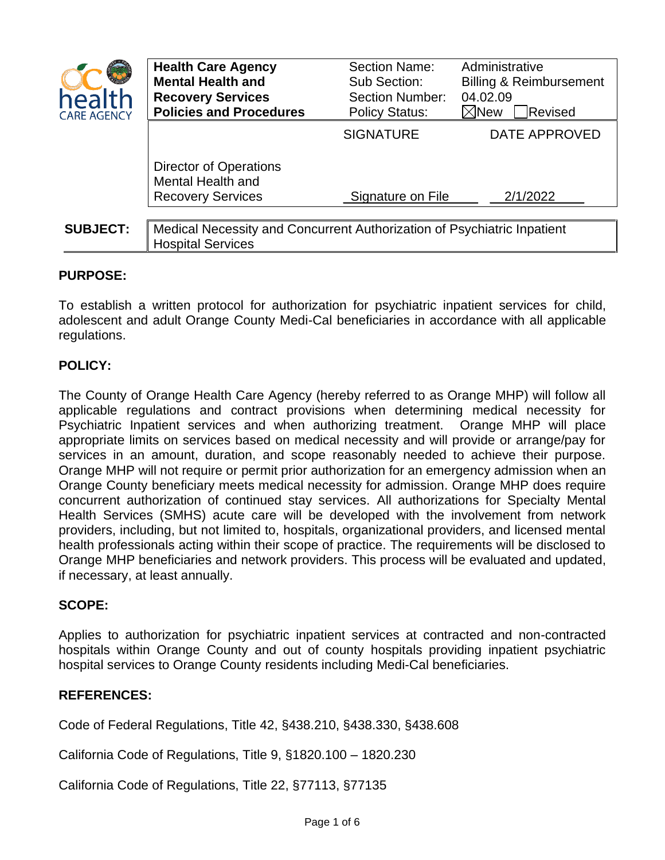| health<br><b>CARE AGENCY</b> | <b>Health Care Agency</b><br><b>Mental Health and</b><br><b>Recovery Services</b><br><b>Policies and Procedures</b> | <b>Section Name:</b><br>Sub Section:<br><b>Section Number:</b><br><b>Policy Status:</b> | Administrative<br><b>Billing &amp; Reimbursement</b><br>04.02.09<br>$\boxtimes$ New<br>Revised |
|------------------------------|---------------------------------------------------------------------------------------------------------------------|-----------------------------------------------------------------------------------------|------------------------------------------------------------------------------------------------|
|                              |                                                                                                                     | <b>SIGNATURE</b>                                                                        | <b>DATE APPROVED</b>                                                                           |
|                              | <b>Director of Operations</b><br><b>Mental Health and</b><br><b>Recovery Services</b>                               | Signature on File                                                                       | 2/1/2022                                                                                       |
| <b>SUBJECT:</b>              | Medical Necessity and Concurrent Authorization of Psychiatric Inpatient<br><b>Hospital Services</b>                 |                                                                                         |                                                                                                |

# **PURPOSE:**

To establish a written protocol for authorization for psychiatric inpatient services for child, adolescent and adult Orange County Medi-Cal beneficiaries in accordance with all applicable regulations.

# **POLICY:**

The County of Orange Health Care Agency (hereby referred to as Orange MHP) will follow all applicable regulations and contract provisions when determining medical necessity for Psychiatric Inpatient services and when authorizing treatment. Orange MHP will place appropriate limits on services based on medical necessity and will provide or arrange/pay for services in an amount, duration, and scope reasonably needed to achieve their purpose. Orange MHP will not require or permit prior authorization for an emergency admission when an Orange County beneficiary meets medical necessity for admission. Orange MHP does require concurrent authorization of continued stay services. All authorizations for Specialty Mental Health Services (SMHS) acute care will be developed with the involvement from network providers, including, but not limited to, hospitals, organizational providers, and licensed mental health professionals acting within their scope of practice. The requirements will be disclosed to Orange MHP beneficiaries and network providers. This process will be evaluated and updated, if necessary, at least annually.

# **SCOPE:**

Applies to authorization for psychiatric inpatient services at contracted and non-contracted hospitals within Orange County and out of county hospitals providing inpatient psychiatric hospital services to Orange County residents including Medi-Cal beneficiaries.

#### **REFERENCES:**

Code of Federal Regulations, Title 42, §438.210, §438.330, §438.608

California Code of Regulations, Title 9, §1820.100 – 1820.230

California Code of Regulations, Title 22, §77113, §77135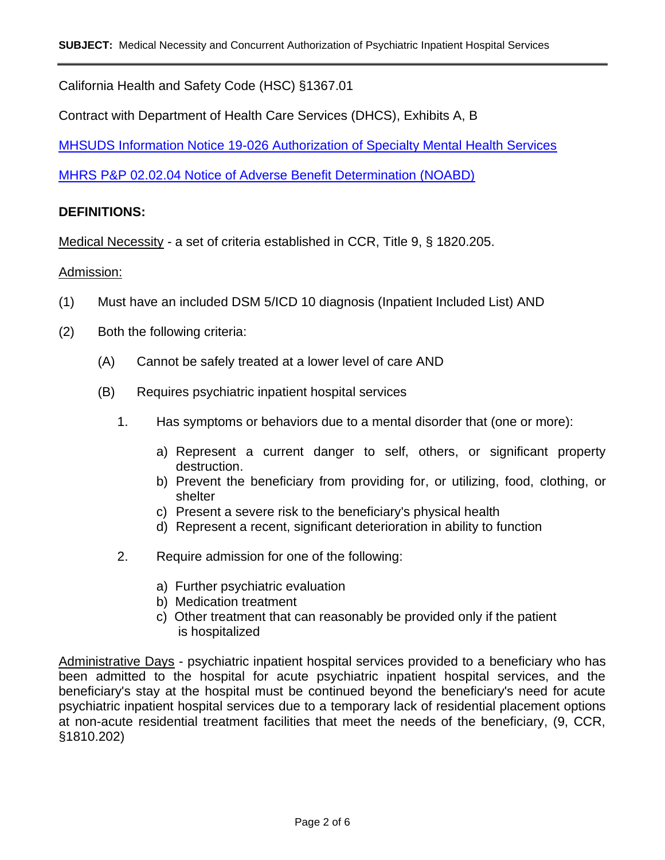California Health and Safety Code (HSC) §1367.01

Contract with Department of Health Care Services (DHCS), Exhibits A, B

[MHSUDS Information Notice 19-026 Authorization of Specialty Mental Health Services](https://www.dhcs.ca.gov/services/MH/Documents/FMORB/MHSUDS_IN_19-026_Authorization_of_SMHS.pdf?_sm_au_=iVVVNRQt5FQTQSp57qBfJK0CNRBH2)

[MHRS P&P 02.02.04 Notice of Adverse Benefit Determination \(NOABD\)](https://www.ochealthinfo.com/sites/hca/files/2022-01/02.02.04%202022%20Notice%20of%20Adverse%20Benefit%20Determination%20%28NOABD%29.pdf)

### **DEFINITIONS:**

Medical Necessity - a set of criteria established in CCR, Title 9, § 1820.205.

#### Admission:

- (1) Must have an included DSM 5/ICD 10 diagnosis (Inpatient Included List) AND
- (2) Both the following criteria:
	- (A) Cannot be safely treated at a lower level of care AND
	- (B) Requires psychiatric inpatient hospital services
		- 1. Has symptoms or behaviors due to a mental disorder that (one or more):
			- a) Represent a current danger to self, others, or significant property destruction.
			- b) Prevent the beneficiary from providing for, or utilizing, food, clothing, or shelter
			- c) Present a severe risk to the beneficiary's physical health
			- d) Represent a recent, significant deterioration in ability to function
		- 2. Require admission for one of the following:
			- a) Further psychiatric evaluation
			- b) Medication treatment
			- c) Other treatment that can reasonably be provided only if the patient is hospitalized

Administrative Days - psychiatric inpatient hospital services provided to a beneficiary who has been admitted to the hospital for acute psychiatric inpatient hospital services, and the beneficiary's stay at the hospital must be continued beyond the beneficiary's need for acute psychiatric inpatient hospital services due to a temporary lack of residential placement options at non-acute residential treatment facilities that meet the needs of the beneficiary, (9, CCR, §1810.202)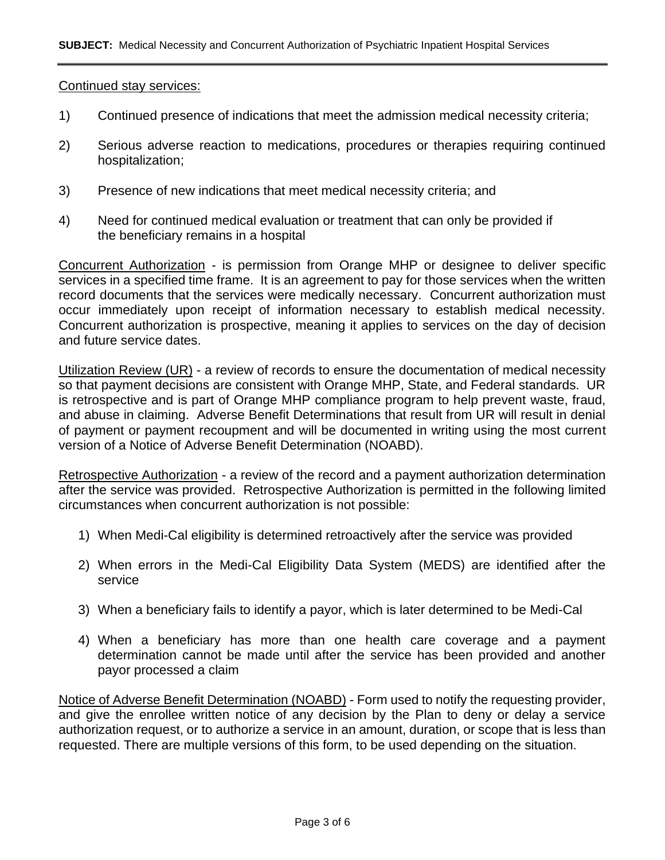#### Continued stay services:

- 1) Continued presence of indications that meet the admission medical necessity criteria;
- 2) Serious adverse reaction to medications, procedures or therapies requiring continued hospitalization;
- 3) Presence of new indications that meet medical necessity criteria; and
- 4) Need for continued medical evaluation or treatment that can only be provided if the beneficiary remains in a hospital

Concurrent Authorization - is permission from Orange MHP or designee to deliver specific services in a specified time frame. It is an agreement to pay for those services when the written record documents that the services were medically necessary. Concurrent authorization must occur immediately upon receipt of information necessary to establish medical necessity. Concurrent authorization is prospective, meaning it applies to services on the day of decision and future service dates.

Utilization Review (UR) - a review of records to ensure the documentation of medical necessity so that payment decisions are consistent with Orange MHP, State, and Federal standards. UR is retrospective and is part of Orange MHP compliance program to help prevent waste, fraud, and abuse in claiming. Adverse Benefit Determinations that result from UR will result in denial of payment or payment recoupment and will be documented in writing using the most current version of a Notice of Adverse Benefit Determination (NOABD).

Retrospective Authorization - a review of the record and a payment authorization determination after the service was provided. Retrospective Authorization is permitted in the following limited circumstances when concurrent authorization is not possible:

- 1) When Medi-Cal eligibility is determined retroactively after the service was provided
- 2) When errors in the Medi-Cal Eligibility Data System (MEDS) are identified after the service
- 3) When a beneficiary fails to identify a payor, which is later determined to be Medi-Cal
- 4) When a beneficiary has more than one health care coverage and a payment determination cannot be made until after the service has been provided and another payor processed a claim

Notice of Adverse Benefit Determination (NOABD) - Form used to notify the requesting provider, and give the enrollee written notice of any decision by the Plan to deny or delay a service authorization request, or to authorize a service in an amount, duration, or scope that is less than requested. There are multiple versions of this form, to be used depending on the situation.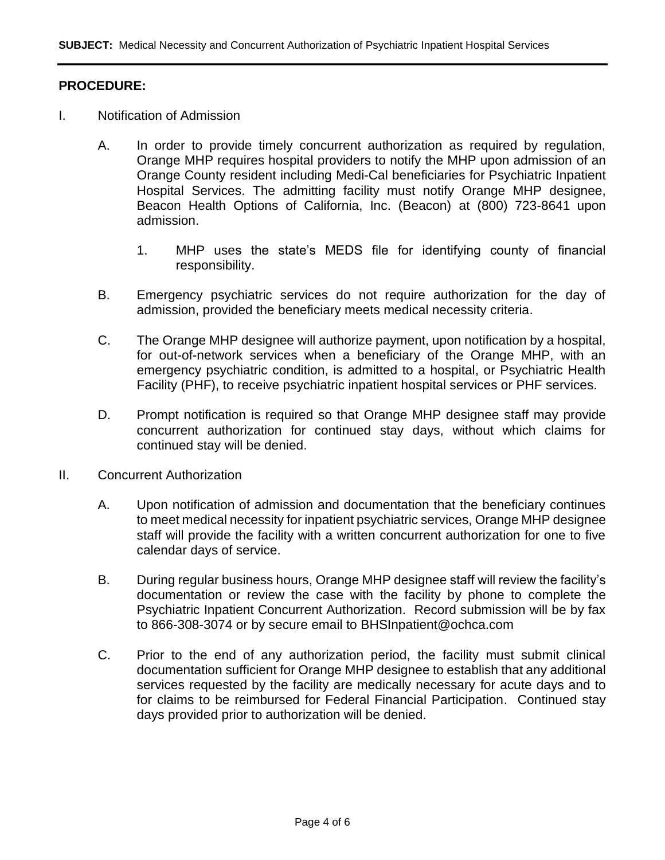### **PROCEDURE:**

- I. Notification of Admission
	- A. In order to provide timely concurrent authorization as required by regulation, Orange MHP requires hospital providers to notify the MHP upon admission of an Orange County resident including Medi-Cal beneficiaries for Psychiatric Inpatient Hospital Services. The admitting facility must notify Orange MHP designee, Beacon Health Options of California, Inc. (Beacon) at (800) 723-8641 upon admission.
		- 1. MHP uses the state's MEDS file for identifying county of financial responsibility.
	- B. Emergency psychiatric services do not require authorization for the day of admission, provided the beneficiary meets medical necessity criteria.
	- C. The Orange MHP designee will authorize payment, upon notification by a hospital, for out-of-network services when a beneficiary of the Orange MHP, with an emergency psychiatric condition, is admitted to a hospital, or Psychiatric Health Facility (PHF), to receive psychiatric inpatient hospital services or PHF services.
	- D. Prompt notification is required so that Orange MHP designee staff may provide concurrent authorization for continued stay days, without which claims for continued stay will be denied.
- II. Concurrent Authorization
	- A. Upon notification of admission and documentation that the beneficiary continues to meet medical necessity for inpatient psychiatric services, Orange MHP designee staff will provide the facility with a written concurrent authorization for one to five calendar days of service.
	- B. During regular business hours, Orange MHP designee staff will review the facility's documentation or review the case with the facility by phone to complete the Psychiatric Inpatient Concurrent Authorization. Record submission will be by fax to 866-308-3074 or by secure email to BHSInpatient@ochca.com
	- C. Prior to the end of any authorization period, the facility must submit clinical documentation sufficient for Orange MHP designee to establish that any additional services requested by the facility are medically necessary for acute days and to for claims to be reimbursed for Federal Financial Participation. Continued stay days provided prior to authorization will be denied.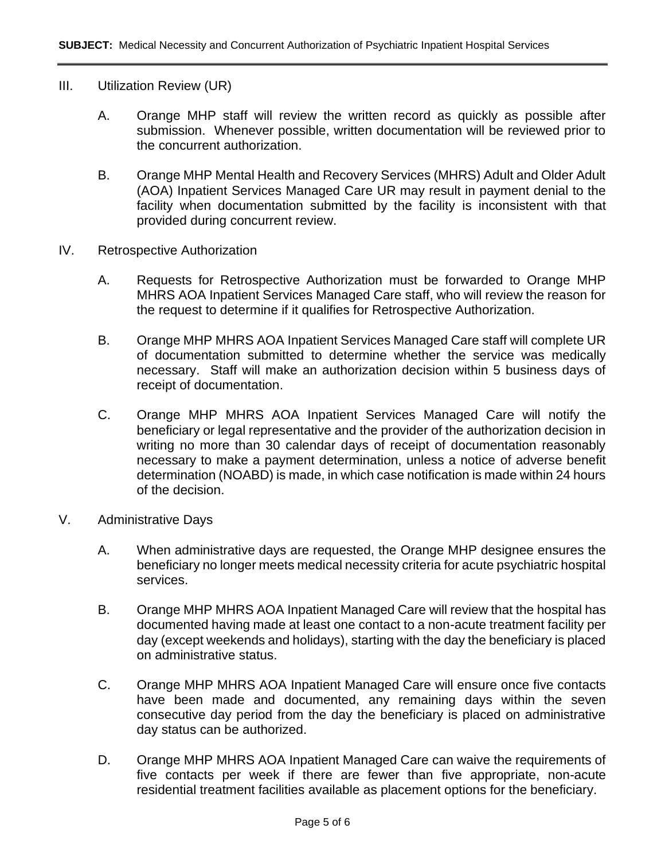### III. Utilization Review (UR)

- A. Orange MHP staff will review the written record as quickly as possible after submission. Whenever possible, written documentation will be reviewed prior to the concurrent authorization.
- B. Orange MHP Mental Health and Recovery Services (MHRS) Adult and Older Adult (AOA) Inpatient Services Managed Care UR may result in payment denial to the facility when documentation submitted by the facility is inconsistent with that provided during concurrent review.
- IV. Retrospective Authorization
	- A. Requests for Retrospective Authorization must be forwarded to Orange MHP MHRS AOA Inpatient Services Managed Care staff, who will review the reason for the request to determine if it qualifies for Retrospective Authorization.
	- B. Orange MHP MHRS AOA Inpatient Services Managed Care staff will complete UR of documentation submitted to determine whether the service was medically necessary. Staff will make an authorization decision within 5 business days of receipt of documentation.
	- C. Orange MHP MHRS AOA Inpatient Services Managed Care will notify the beneficiary or legal representative and the provider of the authorization decision in writing no more than 30 calendar days of receipt of documentation reasonably necessary to make a payment determination, unless a notice of adverse benefit determination (NOABD) is made, in which case notification is made within 24 hours of the decision.
- V. Administrative Days
	- A. When administrative days are requested, the Orange MHP designee ensures the beneficiary no longer meets medical necessity criteria for acute psychiatric hospital services.
	- B. Orange MHP MHRS AOA Inpatient Managed Care will review that the hospital has documented having made at least one contact to a non-acute treatment facility per day (except weekends and holidays), starting with the day the beneficiary is placed on administrative status.
	- C. Orange MHP MHRS AOA Inpatient Managed Care will ensure once five contacts have been made and documented, any remaining days within the seven consecutive day period from the day the beneficiary is placed on administrative day status can be authorized.
	- D. Orange MHP MHRS AOA Inpatient Managed Care can waive the requirements of five contacts per week if there are fewer than five appropriate, non-acute residential treatment facilities available as placement options for the beneficiary.